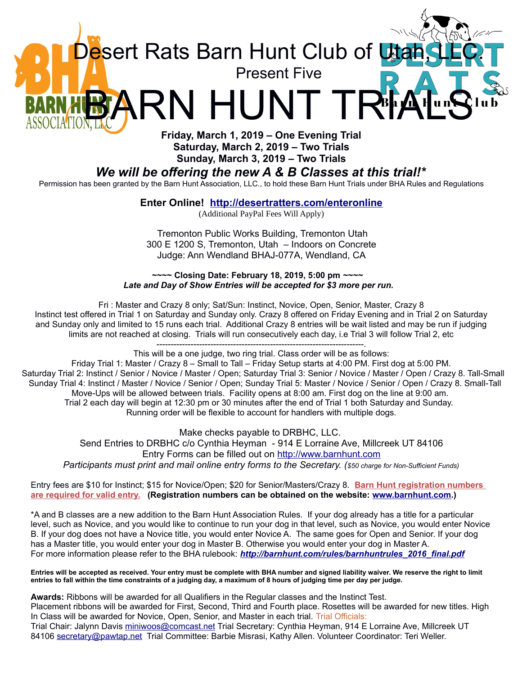

Present Five

esert Rats Barn Hunt Club of Lta

# *We will be offering the new A & B Classes at this trial!\**

Permission has been granted by the Barn Hunt Association, LLC., to hold these Barn Hunt Trials under BHA Rules and Regulations

**Enter Online! <http://desertratters.com/enteronline>**

(Additional PayPal Fees Will Apply)

Tremonton Public Works Building, Tremonton Utah 300 E 1200 S, Tremonton, Utah – Indoors on Concrete Judge: Ann Wendland BHAJ-077A, Wendland, CA

 **~~~~ Closing Date: February 18, 2019, 5:00 pm** *~~~~ Late and Day of Show Entries will be accepted for \$3 more per run.*

Fri : Master and Crazy 8 only; Sat/Sun: Instinct, Novice, Open, Senior, Master, Crazy 8 Instinct test offered in Trial 1 on Saturday and Sunday only. Crazy 8 offered on Friday Evening and in Trial 2 on Saturday and Sunday only and limited to 15 runs each trial. Additional Crazy 8 entries will be wait listed and may be run if judging limits are not reached at closing. Trials will run consecutively each day, i.e Trial 3 will follow Trial 2, etc -------------------------------------------------------------------------.

This will be a one judge, two ring trial. Class order will be as follows:

Friday Trial 1: Master / Crazy 8 – Small to Tall – Friday Setup starts at 4:00 PM. First dog at 5:00 PM. Saturday Trial 2: Instinct / Senior / Novice / Master / Open; Saturday Trial 3: Senior / Novice / Master / Open / Crazy 8. Tall-Small Sunday Trial 4: Instinct / Master / Novice / Senior / Open; Sunday Trial 5: Master / Novice / Senior / Open / Crazy 8. Small-Tall Move-Ups will be allowed between trials. Facility opens at 8:00 am. First dog on the line at 9:00 am. Trial 2 each day will begin at 12:30 pm or 30 minutes after the end of Trial 1 both Saturday and Sunday. Running order will be flexible to account for handlers with multiple dogs.

Make checks payable to DRBHC, LLC. Send Entries to DRBHC c/o Cynthia Heyman - 914 E Lorraine Ave, Millcreek UT 84106 Entry Forms can be filled out on [http://www.barnhunt.com](http://www.barnhunt.com/) *Participants must print and mail online entry forms to the Secretary. (\$50 charge for Non-Sufficient Funds)*

Entry fees are \$10 for Instinct; \$15 for Novice/Open; \$20 for Senior/Masters/Crazy 8. **Barn Hunt registration numbers are required for valid entry. (Registration numbers can be obtained on the website: [www.barnhunt.com.](http://www.barnhunt.com/))**

\*A and B classes are a new addition to the Barn Hunt Association Rules. If your dog already has a title for a particular level, such as Novice, and you would like to continue to run your dog in that level, such as Novice, you would enter Novice B. If your dog does not have a Novice title, you would enter Novice A. The same goes for Open and Senior. If your dog has a Master title, you would enter your dog in Master B. Otherwise you would enter your dog in Master A. For more information please refer to the BHA rulebook: *[http://barnhunt.com/rules/barnhuntrules\\_2016\\_final.pdf](http://barnhunt.com/rules/barnhuntrules_2016_final.pdf)*

**Entries will be accepted as received. Your entry must be complete with BHA number and signed liability waiver. We reserve the right to limit entries to fall within the time constraints of a judging day, a maximum of 8 hours of judging time per day per judge.**

**Awards:** Ribbons will be awarded for all Qualifiers in the Regular classes and the Instinct Test. Placement ribbons will be awarded for First, Second, Third and Fourth place. Rosettes will be awarded for new titles. High In Class will be awarded for Novice, Open, Senior, and Master in each trial. Trial Officials: Trial Chair: Jalynn Davis [miniwoos@comcast.net](mailto:miniwoos@comcast.net) Trial Secretary: Cynthia Heyman, 914 E Lorraine Ave, Millcreek UT 84106 [secretary@pawtap.net](mailto:secretary@pawtap.net) Trial Committee: Barbie Misrasi, Kathy Allen. Volunteer Coordinator: Teri Weller.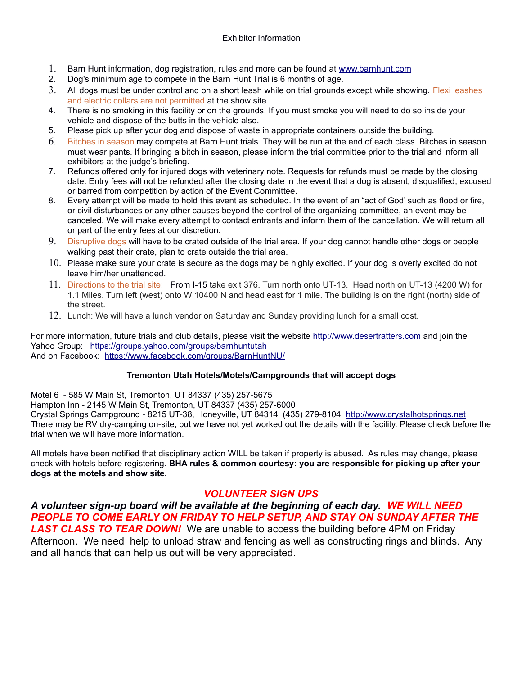### Exhibitor Information

- 1. Barn Hunt information, dog registration, rules and more can be found at [www.barnhunt.com](http://www.barnhunt.com/)
- 2. Dog's minimum age to compete in the Barn Hunt Trial is 6 months of age.
- 3. All dogs must be under control and on a short leash while on trial grounds except while showing. Flexi leashes and electric collars are not permitted at the show site.
- 4. There is no smoking in this facility or on the grounds. If you must smoke you will need to do so inside your vehicle and dispose of the butts in the vehicle also.
- 5. Please pick up after your dog and dispose of waste in appropriate containers outside the building.
- 6. Bitches in season may compete at Barn Hunt trials. They will be run at the end of each class. Bitches in season must wear pants. If bringing a bitch in season, please inform the trial committee prior to the trial and inform all exhibitors at the judge's briefing.
- 7. Refunds offered only for injured dogs with veterinary note. Requests for refunds must be made by the closing date. Entry fees will not be refunded after the closing date in the event that a dog is absent, disqualified, excused or barred from competition by action of the Event Committee.
- 8. Every attempt will be made to hold this event as scheduled. In the event of an "act of God' such as flood or fire, or civil disturbances or any other causes beyond the control of the organizing committee, an event may be canceled. We will make every attempt to contact entrants and inform them of the cancellation. We will return all or part of the entry fees at our discretion.
- 9. Disruptive dogs will have to be crated outside of the trial area. If your dog cannot handle other dogs or people walking past their crate, plan to crate outside the trial area.
- 10. Please make sure your crate is secure as the dogs may be highly excited. If your dog is overly excited do not leave him/her unattended.
- 11. Directions to the trial site: From I-15 take exit 376. Turn north onto UT-13. Head north on UT-13 (4200 W) for 1.1 Miles. Turn left (west) onto W 10400 N and head east for 1 mile. The building is on the right (north) side of the street.
- 12. Lunch: We will have a lunch vendor on Saturday and Sunday providing lunch for a small cost.

For more information, future trials and club details, please visit the website [http://www.desertratters.com](http://www.bhcnu.com/) and join the Yahoo Group: https://groups.yahoo.com/groups/barnhuntutah And on Facebook: <https://www.facebook.com/groups/BarnHuntNU/>

#### **Tremonton Utah Hotels/Motels/Campgrounds that will accept dogs**

Motel 6 - 585 W Main St, Tremonton, UT 84337 (435) 257-5675

Hampton Inn - 2145 W Main St, Tremonton, UT 84337 (435) 257-6000

Crystal Springs Campground - 8215 UT-38, Honeyville, UT 84314 (435) 279-8104 [http://www.crystalhotsprings.net](http://www.crystalhotsprings.net/) There may be RV dry-camping on-site, but we have not yet worked out the details with the facility. Please check before the trial when we will have more information.

All motels have been notified that disciplinary action WILL be taken if property is abused. As rules may change, please check with hotels before registering. **BHA rules & common courtesy: you are responsible for picking up after your dogs at the motels and show site.**

## *VOLUNTEER SIGN UPS*

*A volunteer sign-up board will be available at the beginning of each day. WE WILL NEED PEOPLE TO COME EARLY ON FRIDAY TO HELP SETUP, AND STAY ON SUNDAY AFTER THE LAST CLASS TO TEAR DOWN!* We are unable to access the building before 4PM on Friday Afternoon. We need help to unload straw and fencing as well as constructing rings and blinds. Any and all hands that can help us out will be very appreciated.